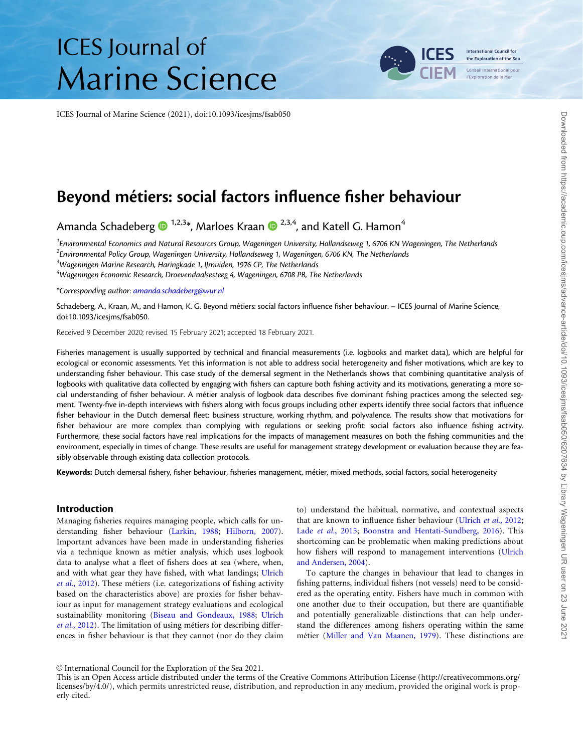# **ICES** Journal of **Marine Science**

ICES Journal of Marine Science (2021), doi:10.1093/icesjms/fsab050



# Beyond métiers: social factors influence fisher behaviour

Amanda Schadeberg  $\bullet$  <sup>1,2,3\*</sup>, Marloes Kraan  $\bullet$  <sup>2,3,4</sup>, and Katell G. Hamon<sup>4</sup>

<sup>1</sup>Environmental Economics and Natural Resources Group, Wageningen University, Hollandseweg 1, 6706 KN Wageningen, The Netherlands  $^2$ Environmental Policy Group, Wageningen University, Hollandseweg 1, Wageningen, 6706 KN, The Netherlands <sup>3</sup>Wageningen Marine Research, Haringkade 1, IJmuiden, 1976 CP, The Netherlands  $\mathrm{^4}$ Wageningen Economic Research, Droevendaalsesteeg 4, Wageningen, 6708 PB, The Netherlands

\*Corresponding author: [amanda.schadeberg@wur.nl](mailto:amanda.schadeberg@wur.nl)

Schadeberg, A., Kraan, M., and Hamon, K. G. Beyond métiers: social factors influence fisher behaviour. – ICES Journal of Marine Science, doi:10.1093/icesjms/fsab050.

Received 9 December 2020; revised 15 February 2021; accepted 18 February 2021.

Fisheries management is usually supported by technical and financial measurements (i.e. logbooks and market data), which are helpful for ecological or economic assessments. Yet this information is not able to address social heterogeneity and fisher motivations, which are key to understanding fisher behaviour. This case study of the demersal segment in the Netherlands shows that combining quantitative analysis of logbooks with qualitative data collected by engaging with fishers can capture both fishing activity and its motivations, generating a more social understanding of fisher behaviour. A métier analysis of logbook data describes five dominant fishing practices among the selected segment. Twenty-five in-depth interviews with fishers along with focus groups including other experts identify three social factors that influence fisher behaviour in the Dutch demersal fleet: business structure, working rhythm, and polyvalence. The results show that motivations for fisher behaviour are more complex than complying with regulations or seeking profit: social factors also influence fishing activity. Furthermore, these social factors have real implications for the impacts of management measures on both the fishing communities and the environment, especially in times of change. These results are useful for management strategy development or evaluation because they are feasibly observable through existing data collection protocols.

Keywords: Dutch demersal fishery, fisher behaviour, fisheries management, métier, mixed methods, social factors, social heterogeneity

#### Introduction

Managing fisheries requires managing people, which calls for understanding fisher behaviour [\(Larkin, 1988](#page-10-0); [Hilborn, 2007](#page-10-0)). Important advances have been made in understanding fisheries via a technique known as métier analysis, which uses logbook data to analyse what a fleet of fishers does at sea (where, when, and with what gear they have fished, with what landings; [Ulrich](#page-11-0) et al.,  $2012$ ). These métiers (i.e. categorizations of fishing activity based on the characteristics above) are proxies for fisher behaviour as input for management strategy evaluations and ecological sustainability monitoring [\(Biseau and Gondeaux, 1988](#page-10-0); [Ulrich](#page-11-0)  $et al., 2012$ ). The limitation of using métiers for describing differences in fisher behaviour is that they cannot (nor do they claim

to) understand the habitual, normative, and contextual aspects that are known to influence fisher behaviour [\(Ulrich](#page-11-0) et al., 2012; Lade et al.[, 2015](#page-10-0); [Boonstra and Hentati-Sundberg, 2016\)](#page-10-0). This shortcoming can be problematic when making predictions about how fishers will respond to management interventions ([Ulrich](#page-11-0) [and Andersen, 2004\)](#page-11-0).

To capture the changes in behaviour that lead to changes in fishing patterns, individual fishers (not vessels) need to be considered as the operating entity. Fishers have much in common with one another due to their occupation, but there are quantifiable and potentially generalizable distinctions that can help understand the differences among fishers operating within the same métier ([Miller and Van Maanen, 1979](#page-11-0)). These distinctions are

V<sup>C</sup> International Council for the Exploration of the Sea 2021.

This is an Open Access article distributed under the terms of the Creative Commons Attribution License ([http://creativecommons.org/](http://creativecommons.org/licenses/by/4.0/) [licenses/by/4.0/\)](http://creativecommons.org/licenses/by/4.0/), which permits unrestricted reuse, distribution, and reproduction in any medium, provided the original work is properly cited.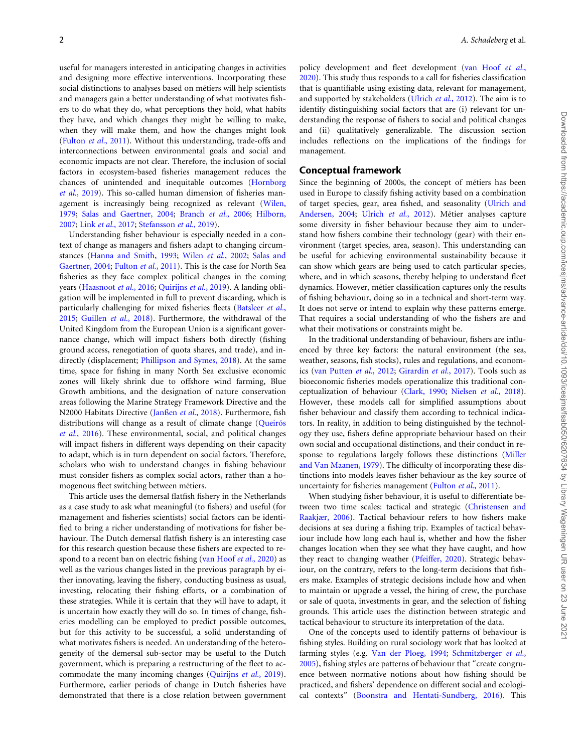useful for managers interested in anticipating changes in activities and designing more effective interventions. Incorporating these social distinctions to analyses based on métiers will help scientists and managers gain a better understanding of what motivates fishers to do what they do, what perceptions they hold, what habits they have, and which changes they might be willing to make, when they will make them, and how the changes might look ([Fulton](#page-10-0) et al., 2011). Without this understanding, trade-offs and interconnections between environmental goals and social and economic impacts are not clear. Therefore, the inclusion of social factors in ecosystem-based fisheries management reduces the chances of unintended and inequitable outcomes [\(Hornborg](#page-10-0) et al.[, 2019](#page-10-0)). This so-called human dimension of fisheries management is increasingly being recognized as relevant ([Wilen,](#page-11-0) [1979;](#page-11-0) [Salas and Gaertner, 2004](#page-11-0); [Branch](#page-10-0) et al., 2006; [Hilborn,](#page-10-0) [2007;](#page-10-0) Link et al.[, 2017](#page-10-0); [Stefansson](#page-11-0) et al., 2019).

Understanding fisher behaviour is especially needed in a context of change as managers and fishers adapt to changing circumstances ([Hanna and Smith, 1993;](#page-10-0) Wilen et al.[, 2002](#page-11-0); [Salas and](#page-11-0) [Gaertner, 2004;](#page-11-0) [Fulton](#page-10-0) et al., 2011). This is the case for North Sea fisheries as they face complex political changes in the coming years [\(Haasnoot](#page-10-0) et al., 2016; [Quirijns](#page-11-0) et al., 2019). A landing obligation will be implemented in full to prevent discarding, which is particularly challenging for mixed fisheries fleets ([Batsleer](#page-10-0) et al., [2015;](#page-10-0) [Guillen](#page-10-0) et al., 2018). Furthermore, the withdrawal of the United Kingdom from the European Union is a significant governance change, which will impact fishers both directly (fishing ground access, renegotiation of quota shares, and trade), and indirectly (displacement; [Phillipson and Symes, 2018\)](#page-11-0). At the same time, space for fishing in many North Sea exclusive economic zones will likely shrink due to offshore wind farming, Blue Growth ambitions, and the designation of nature conservation areas following the Marine Strategy Framework Directive and the N2000 Habitats Directive ([Janß](#page-10-0)en et al.[, 2018](#page-10-0)). Furthermore, fish distributions will change as a result of climate change (Queirós et al.[, 2016\)](#page-11-0). These environmental, social, and political changes will impact fishers in different ways depending on their capacity to adapt, which is in turn dependent on social factors. Therefore, scholars who wish to understand changes in fishing behaviour must consider fishers as complex social actors, rather than a homogenous fleet switching between métiers.

This article uses the demersal flatfish fishery in the Netherlands as a case study to ask what meaningful (to fishers) and useful (for management and fisheries scientists) social factors can be identified to bring a richer understanding of motivations for fisher behaviour. The Dutch demersal flatfish fishery is an interesting case for this research question because these fishers are expected to respond to a recent ban on electric fishing ([van Hoof](#page-11-0) et al., 2020) as well as the various changes listed in the previous paragraph by either innovating, leaving the fishery, conducting business as usual, investing, relocating their fishing efforts, or a combination of these strategies. While it is certain that they will have to adapt, it is uncertain how exactly they will do so. In times of change, fisheries modelling can be employed to predict possible outcomes, but for this activity to be successful, a solid understanding of what motivates fishers is needed. An understanding of the heterogeneity of the demersal sub-sector may be useful to the Dutch government, which is preparing a restructuring of the fleet to accommodate the many incoming changes [\(Quirijns](#page-11-0) et al., 2019). Furthermore, earlier periods of change in Dutch fisheries have demonstrated that there is a close relation between government policy development and fleet development [\(van Hoof](#page-11-0) et al., [2020\)](#page-11-0). This study thus responds to a call for fisheries classification that is quantifiable using existing data, relevant for management, and supported by stakeholders ([Ulrich](#page-11-0) et al., 2012). The aim is to identify distinguishing social factors that are (i) relevant for understanding the response of fishers to social and political changes and (ii) qualitatively generalizable. The discussion section includes reflections on the implications of the findings for management.

#### Conceptual framework

Since the beginning of 2000s, the concept of métiers has been used in Europe to classify fishing activity based on a combination of target species, gear, area fished, and seasonality [\(Ulrich and](#page-11-0) [Andersen, 2004](#page-11-0); Ulrich et al.[, 2012](#page-11-0)). Métier analyses capture some diversity in fisher behaviour because they aim to understand how fishers combine their technology (gear) with their environment (target species, area, season). This understanding can be useful for achieving environmental sustainability because it can show which gears are being used to catch particular species, where, and in which seasons, thereby helping to understand fleet dynamics. However, métier classification captures only the results of fishing behaviour, doing so in a technical and short-term way. It does not serve or intend to explain why these patterns emerge. That requires a social understanding of who the fishers are and what their motivations or constraints might be.

In the traditional understanding of behaviour, fishers are influenced by three key factors: the natural environment (the sea, weather, seasons, fish stocks), rules and regulations, and economics [\(van Putten](#page-11-0) et al., 2012; [Girardin](#page-10-0) et al., 2017). Tools such as bioeconomic fisheries models operationalize this traditional conceptualization of behaviour ([Clark, 1990;](#page-10-0) [Nielsen](#page-11-0) et al., 2018). However, these models call for simplified assumptions about fisher behaviour and classify them according to technical indicators. In reality, in addition to being distinguished by the technology they use, fishers define appropriate behaviour based on their own social and occupational distinctions, and their conduct in response to regulations largely follows these distinctions ([Miller](#page-11-0) [and Van Maanen, 1979](#page-11-0)). The difficulty of incorporating these distinctions into models leaves fisher behaviour as the key source of uncertainty for fisheries management [\(Fulton](#page-10-0) et al., 2011).

When studying fisher behaviour, it is useful to differentiate between two time scales: tactical and strategic ([Christensen and](#page-10-0) [Raakjær, 2006](#page-10-0)). Tactical behaviour refers to how fishers make decisions at sea during a fishing trip. Examples of tactical behaviour include how long each haul is, whether and how the fisher changes location when they see what they have caught, and how they react to changing weather [\(Pfeiffer, 2020\)](#page-11-0). Strategic behaviour, on the contrary, refers to the long-term decisions that fishers make. Examples of strategic decisions include how and when to maintain or upgrade a vessel, the hiring of crew, the purchase or sale of quota, investments in gear, and the selection of fishing grounds. This article uses the distinction between strategic and tactical behaviour to structure its interpretation of the data.

One of the concepts used to identify patterns of behaviour is fishing styles. Building on rural sociology work that has looked at farming styles (e.g. [Van der Ploeg, 1994](#page-11-0); [Schmitzberger](#page-11-0) et al., [2005\)](#page-11-0), fishing styles are patterns of behaviour that "create congruence between normative notions about how fishing should be practiced, and fishers' dependence on different social and ecological contexts" ([Boonstra and Hentati-Sundberg, 2016\)](#page-10-0). This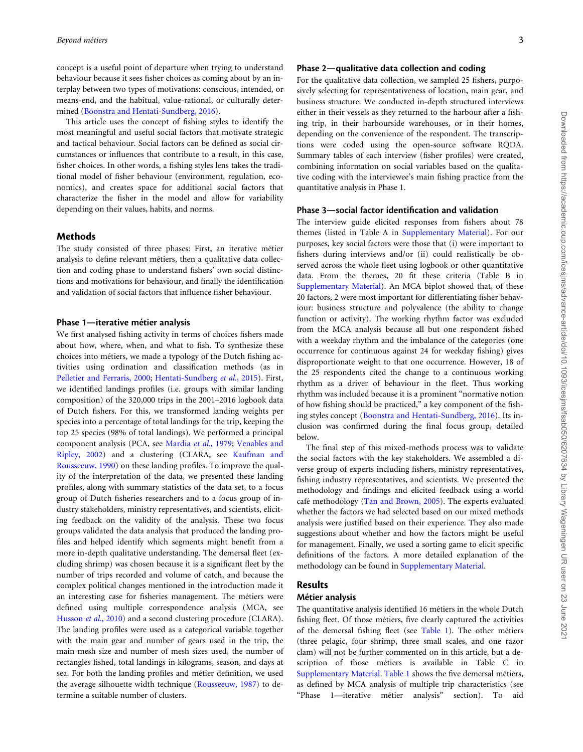concept is a useful point of departure when trying to understand behaviour because it sees fisher choices as coming about by an interplay between two types of motivations: conscious, intended, or means-end, and the habitual, value-rational, or culturally determined [\(Boonstra and Hentati-Sundberg, 2016](#page-10-0)).

This article uses the concept of fishing styles to identify the most meaningful and useful social factors that motivate strategic and tactical behaviour. Social factors can be defined as social circumstances or influences that contribute to a result, in this case, fisher choices. In other words, a fishing styles lens takes the traditional model of fisher behaviour (environment, regulation, economics), and creates space for additional social factors that characterize the fisher in the model and allow for variability depending on their values, habits, and norms.

#### Methods

The study consisted of three phases: First, an iterative métier analysis to define relevant métiers, then a qualitative data collection and coding phase to understand fishers' own social distinctions and motivations for behaviour, and finally the identification and validation of social factors that influence fisher behaviour.

#### Phase 1—iterative métier analysis

We first analysed fishing activity in terms of choices fishers made about how, where, when, and what to fish. To synthesize these choices into métiers, we made a typology of the Dutch fishing activities using ordination and classification methods (as in [Pelletier and Ferraris, 2000;](#page-11-0) [Hentati-Sundberg](#page-10-0) et al., 2015). First, we identified landings profiles (i.e. groups with similar landing composition) of the 320,000 trips in the 2001–2016 logbook data of Dutch fishers. For this, we transformed landing weights per species into a percentage of total landings for the trip, keeping the top 25 species (98% of total landings). We performed a principal component analysis (PCA, see [Mardia](#page-10-0) et al., 1979; [Venables and](#page-11-0) [Ripley, 2002\)](#page-11-0) and a clustering (CLARA, see [Kaufman and](#page-10-0) [Rousseeuw, 1990](#page-10-0)) on these landing profiles. To improve the quality of the interpretation of the data, we presented these landing profiles, along with summary statistics of the data set, to a focus group of Dutch fisheries researchers and to a focus group of industry stakeholders, ministry representatives, and scientists, eliciting feedback on the validity of the analysis. These two focus groups validated the data analysis that produced the landing profiles and helped identify which segments might benefit from a more in-depth qualitative understanding. The demersal fleet (excluding shrimp) was chosen because it is a significant fleet by the number of trips recorded and volume of catch, and because the complex political changes mentioned in the introduction made it an interesting case for fisheries management. The métiers were defined using multiple correspondence analysis (MCA, see [Husson](#page-10-0) et al., 2010) and a second clustering procedure (CLARA). The landing profiles were used as a categorical variable together with the main gear and number of gears used in the trip, the main mesh size and number of mesh sizes used, the number of rectangles fished, total landings in kilograms, season, and days at sea. For both the landing profiles and métier definition, we used the average silhouette width technique [\(Rousseeuw, 1987](#page-11-0)) to determine a suitable number of clusters.

#### Phase 2—qualitative data collection and coding

For the qualitative data collection, we sampled 25 fishers, purposively selecting for representativeness of location, main gear, and business structure. We conducted in-depth structured interviews either in their vessels as they returned to the harbour after a fishing trip, in their harbourside warehouses, or in their homes, depending on the convenience of the respondent. The transcriptions were coded using the open-source software RQDA. Summary tables of each interview (fisher profiles) were created, combining information on social variables based on the qualitative coding with the interviewee's main fishing practice from the quantitative analysis in Phase 1.

#### Phase 3—social factor identification and validation

The interview guide elicited responses from fishers about 78 themes (listed in Table A in [Supplementary Material\)](https://academic.oup.com/icesjms/article-lookup/doi/10.1093/icesjms/fsab050#supplementary-data). For our purposes, key social factors were those that (i) were important to fishers during interviews and/or (ii) could realistically be observed across the whole fleet using logbook or other quantitative data. From the themes, 20 fit these criteria (Table B in [Supplementary Material](https://academic.oup.com/icesjms/article-lookup/doi/10.1093/icesjms/fsab050#supplementary-data)). An MCA biplot showed that, of these 20 factors, 2 were most important for differentiating fisher behaviour: business structure and polyvalence (the ability to change function or activity). The working rhythm factor was excluded from the MCA analysis because all but one respondent fished with a weekday rhythm and the imbalance of the categories (one occurrence for continuous against 24 for weekday fishing) gives disproportionate weight to that one occurrence. However, 18 of the 25 respondents cited the change to a continuous working rhythm as a driver of behaviour in the fleet. Thus working rhythm was included because it is a prominent "normative notion of how fishing should be practiced," a key component of the fishing styles concept ([Boonstra and Hentati-Sundberg, 2016\)](#page-10-0). Its inclusion was confirmed during the final focus group, detailed below.

The final step of this mixed-methods process was to validate the social factors with the key stakeholders. We assembled a diverse group of experts including fishers, ministry representatives, fishing industry representatives, and scientists. We presented the methodology and findings and elicited feedback using a world café methodology ([Tan and Brown, 2005](#page-11-0)). The experts evaluated whether the factors we had selected based on our mixed methods analysis were justified based on their experience. They also made suggestions about whether and how the factors might be useful for management. Finally, we used a sorting game to elicit specific definitions of the factors. A more detailed explanation of the methodology can be found in [Supplementary Material](https://academic.oup.com/icesjms/article-lookup/doi/10.1093/icesjms/fsab050#supplementary-data).

# Results

# Métier analysis

The quantitative analysis identified 16 métiers in the whole Dutch fishing fleet. Of those métiers, five clearly captured the activities of the demersal fishing fleet (see [Table 1](#page-3-0)). The other métiers (three pelagic, four shrimp, three small scales, and one razor clam) will not be further commented on in this article, but a description of those métiers is available in Table C in [Supplementary Material](https://academic.oup.com/icesjms/article-lookup/doi/10.1093/icesjms/fsab050#supplementary-data). [Table 1](#page-3-0) shows the five demersal métiers, as defined by MCA analysis of multiple trip characteristics (see "Phase 1-iterative métier analysis" section). To aid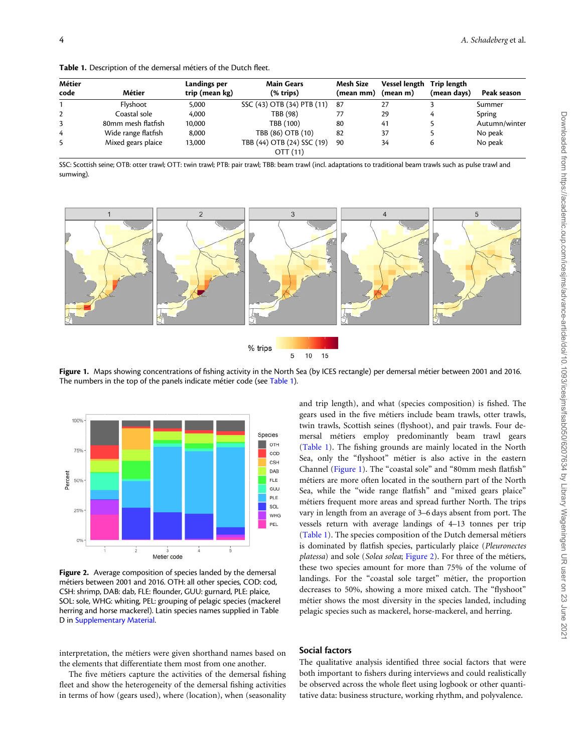<span id="page-3-0"></span>Table 1. Description of the demersal métiers of the Dutch fleet.

| Métier         |                     | Landings per   | <b>Main Gears</b>                              | Mesh Size | Vessel length | Trip length |               |
|----------------|---------------------|----------------|------------------------------------------------|-----------|---------------|-------------|---------------|
| code           | Métier              | trip (mean kg) | $(% \mathbf{r}^{\prime }\mathbf{A})$ (% trips) | (mean mm) | (mean m)      | (mean days) | Peak season   |
|                | Flyshoot            | 5,000          | SSC (43) OTB (34) PTB (11)                     | -87       | 27            |             | Summer        |
| $\overline{2}$ | Coastal sole        | 4.000          | TBB (98)                                       |           | 29            | 4           | Spring        |
| 3              | 80mm mesh flatfish  | 10,000         | TBB (100)                                      | 80        | 41            |             | Autumn/winter |
| 4              | Wide range flatfish | 8.000          | TBB (86) OTB (10)                              | 82        | 37            |             | No peak       |
| 5              | Mixed gears plaice  | 13,000         | TBB (44) OTB (24) SSC (19)                     | 90        | 34            | 6           | No peak       |
|                |                     |                | OTT (11)                                       |           |               |             |               |

SSC: Scottish seine; OTB: otter trawl; OTT: twin trawl; PTB: pair trawl; TBB: beam trawl (incl. adaptations to traditional beam trawls such as pulse trawl and sumwing).



Figure 1. Maps showing concentrations of fishing activity in the North Sea (by ICES rectangle) per demersal métier between 2001 and 2016. The numbers in the top of the panels indicate métier code (see Table 1).



Figure 2. Average composition of species landed by the demersal métiers between 2001 and 2016. OTH: all other species, COD: cod, CSH: shrimp, DAB: dab, FLE: flounder, GUU: gurnard, PLE: plaice, SOL: sole, WHG: whiting, PEL: grouping of pelagic species (mackerel herring and horse mackerel). Latin species names supplied in Table D in [Supplementary Material.](https://academic.oup.com/icesjms/article-lookup/doi/10.1093/icesjms/fsab050#supplementary-data)

interpretation, the métiers were given shorthand names based on the elements that differentiate them most from one another.

The five métiers capture the activities of the demersal fishing fleet and show the heterogeneity of the demersal fishing activities in terms of how (gears used), where (location), when (seasonality

and trip length), and what (species composition) is fished. The gears used in the five métiers include beam trawls, otter trawls, twin trawls, Scottish seines (flyshoot), and pair trawls. Four demersal métiers employ predominantly beam trawl gears (Table 1). The fishing grounds are mainly located in the North Sea, only the "flyshoot" métier is also active in the eastern Channel (Figure 1). The "coastal sole" and "80mm mesh flatfish" métiers are more often located in the southern part of the North Sea, while the "wide range flatfish" and "mixed gears plaice" métiers frequent more areas and spread further North. The trips vary in length from an average of 3–6 days absent from port. The vessels return with average landings of 4–13 tonnes per trip (Table 1). The species composition of the Dutch demersal métiers is dominated by flatfish species, particularly plaice (Pleuronectes platessa) and sole (Solea solea; Figure 2). For three of the métiers, these two species amount for more than 75% of the volume of landings. For the "coastal sole target" métier, the proportion decreases to 50%, showing a more mixed catch. The "flyshoot" métier shows the most diversity in the species landed, including pelagic species such as mackerel, horse-mackerel, and herring.

#### Social factors

The qualitative analysis identified three social factors that were both important to fishers during interviews and could realistically be observed across the whole fleet using logbook or other quantitative data: business structure, working rhythm, and polyvalence.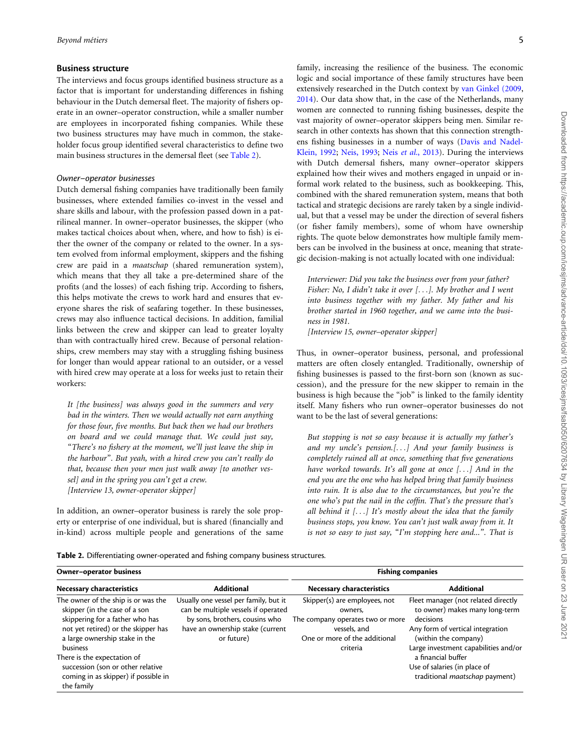#### Business structure

The interviews and focus groups identified business structure as a factor that is important for understanding differences in fishing behaviour in the Dutch demersal fleet. The majority of fishers operate in an owner–operator construction, while a smaller number are employees in incorporated fishing companies. While these two business structures may have much in common, the stakeholder focus group identified several characteristics to define two main business structures in the demersal fleet (see Table 2).

#### Owner–operator businesses

Dutch demersal fishing companies have traditionally been family businesses, where extended families co-invest in the vessel and share skills and labour, with the profession passed down in a patrilineal manner. In owner–operator businesses, the skipper (who makes tactical choices about when, where, and how to fish) is either the owner of the company or related to the owner. In a system evolved from informal employment, skippers and the fishing crew are paid in a maatschap (shared remuneration system), which means that they all take a pre-determined share of the profits (and the losses) of each fishing trip. According to fishers, this helps motivate the crews to work hard and ensures that everyone shares the risk of seafaring together. In these businesses, crews may also influence tactical decisions. In addition, familial links between the crew and skipper can lead to greater loyalty than with contractually hired crew. Because of personal relationships, crew members may stay with a struggling fishing business for longer than would appear rational to an outsider, or a vessel with hired crew may operate at a loss for weeks just to retain their workers:

It [the business] was always good in the summers and very bad in the winters. Then we would actually not earn anything for those four, five months. But back then we had our brothers on board and we could manage that. We could just say, "There's no fishery at the moment, we'll just leave the ship in the harbour". But yeah, with a hired crew you can't really do that, because then your men just walk away [to another vessel] and in the spring you can't get a crew. [Interview 13, owner-operator skipper]

In addition, an owner–operator business is rarely the sole property or enterprise of one individual, but is shared (financially and in-kind) across multiple people and generations of the same

family, increasing the resilience of the business. The economic logic and social importance of these family structures have been extensively researched in the Dutch context by [van Ginkel \(2009,](#page-11-0) [2014\)](#page-11-0). Our data show that, in the case of the Netherlands, many women are connected to running fishing businesses, despite the vast majority of owner–operator skippers being men. Similar research in other contexts has shown that this connection strengthens fishing businesses in a number of ways ([Davis and Nadel-](#page-10-0)[Klein, 1992](#page-10-0); [Neis, 1993;](#page-11-0) Neis et al.[, 2013](#page-11-0)). During the interviews with Dutch demersal fishers, many owner–operator skippers explained how their wives and mothers engaged in unpaid or informal work related to the business, such as bookkeeping. This, combined with the shared remuneration system, means that both tactical and strategic decisions are rarely taken by a single individual, but that a vessel may be under the direction of several fishers (or fisher family members), some of whom have ownership rights. The quote below demonstrates how multiple family members can be involved in the business at once, meaning that strategic decision-making is not actually located with one individual:

Interviewer: Did you take the business over from your father? Fisher: No, I didn't take it over [...]. My brother and I went into business together with my father. My father and his brother started in 1960 together, and we came into the business in 1981.

[Interview 15, owner–operator skipper]

Thus, in owner–operator business, personal, and professional matters are often closely entangled. Traditionally, ownership of fishing businesses is passed to the first-born son (known as succession), and the pressure for the new skipper to remain in the business is high because the "job" is linked to the family identity itself. Many fishers who run owner–operator businesses do not want to be the last of several generations:

But stopping is not so easy because it is actually my father's and my uncle's pension.[...] And your family business is completely ruined all at once, something that five generations have worked towards. It's all gone at once  $[...]$  And in the end you are the one who has helped bring that family business into ruin. It is also due to the circumstances, but you're the one who's put the nail in the coffin. That's the pressure that's all behind it  $[...]$  It's mostly about the idea that the family business stops, you know. You can't just walk away from it. It is not so easy to just say, "I'm stopping here and...". That is

Table 2. Differentiating owner-operated and fishing company business structures.

| Owner-operator business                                                                                                                                                                                                                                                                                                |                                                                                                                                                                  | <b>Fishing companies</b>                                                                                                                  |                                                                                                                                                                                                                                                                                |  |
|------------------------------------------------------------------------------------------------------------------------------------------------------------------------------------------------------------------------------------------------------------------------------------------------------------------------|------------------------------------------------------------------------------------------------------------------------------------------------------------------|-------------------------------------------------------------------------------------------------------------------------------------------|--------------------------------------------------------------------------------------------------------------------------------------------------------------------------------------------------------------------------------------------------------------------------------|--|
| Necessary characteristics                                                                                                                                                                                                                                                                                              | <b>Additional</b>                                                                                                                                                | Necessary characteristics                                                                                                                 | <b>Additional</b>                                                                                                                                                                                                                                                              |  |
| The owner of the ship is or was the<br>skipper (in the case of a son<br>skippering for a father who has<br>not yet retired) or the skipper has<br>a large ownership stake in the<br>business<br>There is the expectation of<br>succession (son or other relative<br>coming in as skipper) if possible in<br>the family | Usually one vessel per family, but it<br>can be multiple vessels if operated<br>by sons, brothers, cousins who<br>have an ownership stake (current<br>or future) | Skipper(s) are employees, not<br>owners.<br>The company operates two or more<br>vessels, and<br>One or more of the additional<br>criteria | Fleet manager (not related directly<br>to owner) makes many long-term<br>decisions<br>Any form of vertical integration<br>(within the company)<br>Large investment capabilities and/or<br>a financial buffer<br>Use of salaries (in place of<br>traditional maatschap payment) |  |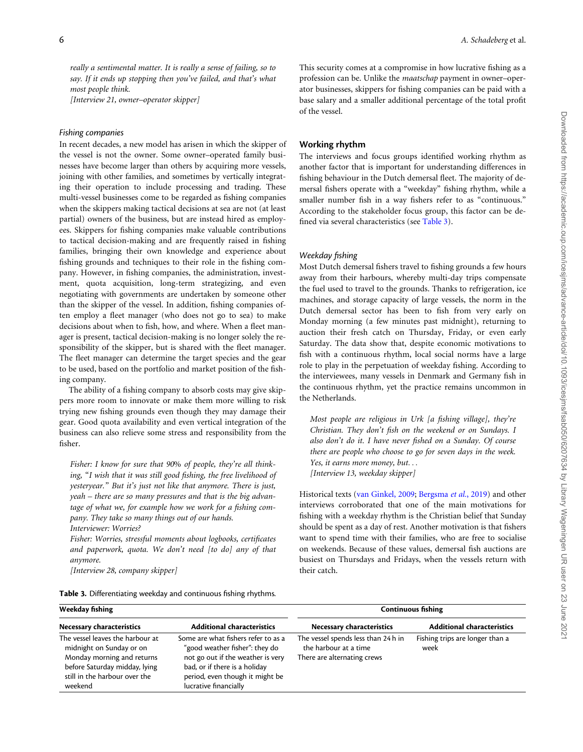really a sentimental matter. It is really a sense of failing, so to say. If it ends up stopping then you've failed, and that's what most people think.

[Interview 21, owner–operator skipper]

#### Fishing companies

In recent decades, a new model has arisen in which the skipper of the vessel is not the owner. Some owner–operated family businesses have become larger than others by acquiring more vessels, joining with other families, and sometimes by vertically integrating their operation to include processing and trading. These multi-vessel businesses come to be regarded as fishing companies when the skippers making tactical decisions at sea are not (at least partial) owners of the business, but are instead hired as employees. Skippers for fishing companies make valuable contributions to tactical decision-making and are frequently raised in fishing families, bringing their own knowledge and experience about fishing grounds and techniques to their role in the fishing company. However, in fishing companies, the administration, investment, quota acquisition, long-term strategizing, and even negotiating with governments are undertaken by someone other than the skipper of the vessel. In addition, fishing companies often employ a fleet manager (who does not go to sea) to make decisions about when to fish, how, and where. When a fleet manager is present, tactical decision-making is no longer solely the responsibility of the skipper, but is shared with the fleet manager. The fleet manager can determine the target species and the gear to be used, based on the portfolio and market position of the fishing company.

The ability of a fishing company to absorb costs may give skippers more room to innovate or make them more willing to risk trying new fishing grounds even though they may damage their gear. Good quota availability and even vertical integration of the business can also relieve some stress and responsibility from the fisher.

Fisher: I know for sure that 90% of people, they're all thinking, "I wish that it was still good fishing, the free livelihood of yesteryear." But it's just not like that anymore. There is just, yeah – there are so many pressures and that is the big advantage of what we, for example how we work for a fishing company. They take so many things out of our hands. Interviewer: Worries?

Fisher: Worries, stressful moments about logbooks, certificates and paperwork, quota. We don't need [to do] any of that anymore.

[Interview 28, company skipper]

|  |  |  |  | Table 3. Differentiating weekday and continuous fishing rhythms. |
|--|--|--|--|------------------------------------------------------------------|
|--|--|--|--|------------------------------------------------------------------|

This security comes at a compromise in how lucrative fishing as a profession can be. Unlike the maatschap payment in owner–operator businesses, skippers for fishing companies can be paid with a base salary and a smaller additional percentage of the total profit of the vessel.

#### Working rhythm

The interviews and focus groups identified working rhythm as another factor that is important for understanding differences in fishing behaviour in the Dutch demersal fleet. The majority of demersal fishers operate with a "weekday" fishing rhythm, while a smaller number fish in a way fishers refer to as "continuous." According to the stakeholder focus group, this factor can be defined via several characteristics (see Table 3).

#### Weekday fishing

Most Dutch demersal fishers travel to fishing grounds a few hours away from their harbours, whereby multi-day trips compensate the fuel used to travel to the grounds. Thanks to refrigeration, ice machines, and storage capacity of large vessels, the norm in the Dutch demersal sector has been to fish from very early on Monday morning (a few minutes past midnight), returning to auction their fresh catch on Thursday, Friday, or even early Saturday. The data show that, despite economic motivations to fish with a continuous rhythm, local social norms have a large role to play in the perpetuation of weekday fishing. According to the interviewees, many vessels in Denmark and Germany fish in the continuous rhythm, yet the practice remains uncommon in the Netherlands.

Most people are religious in Urk [a fishing village], they're Christian. They don't fish on the weekend or on Sundays. I also don't do it. I have never fished on a Sunday. Of course there are people who choose to go for seven days in the week. Yes, it earns more money, but... [Interview 13, weekday skipper]

Historical texts ([van Ginkel, 2009;](#page-11-0) [Bergsma](#page-10-0) et al., 2019) and other interviews corroborated that one of the main motivations for fishing with a weekday rhythm is the Christian belief that Sunday should be spent as a day of rest. Another motivation is that fishers want to spend time with their families, who are free to socialise on weekends. Because of these values, demersal fish auctions are busiest on Thursdays and Fridays, when the vessels return with their catch.

| Weekday fishing                                                                                                                                                         |                                                                                                                                                                                                         | <b>Continuous fishing</b>                                                                  |                                         |  |
|-------------------------------------------------------------------------------------------------------------------------------------------------------------------------|---------------------------------------------------------------------------------------------------------------------------------------------------------------------------------------------------------|--------------------------------------------------------------------------------------------|-----------------------------------------|--|
| <b>Necessary characteristics</b>                                                                                                                                        | <b>Additional characteristics</b>                                                                                                                                                                       | <b>Necessary characteristics</b>                                                           | <b>Additional characteristics</b>       |  |
| The vessel leaves the harbour at<br>midnight on Sunday or on<br>Monday morning and returns<br>before Saturday midday, lying<br>still in the harbour over the<br>weekend | Some are what fishers refer to as a<br>"good weather fisher": they do<br>not go out if the weather is very<br>bad, or if there is a holiday<br>period, even though it might be<br>lucrative financially | The vessel spends less than 24h in<br>the harbour at a time<br>There are alternating crews | Fishing trips are longer than a<br>week |  |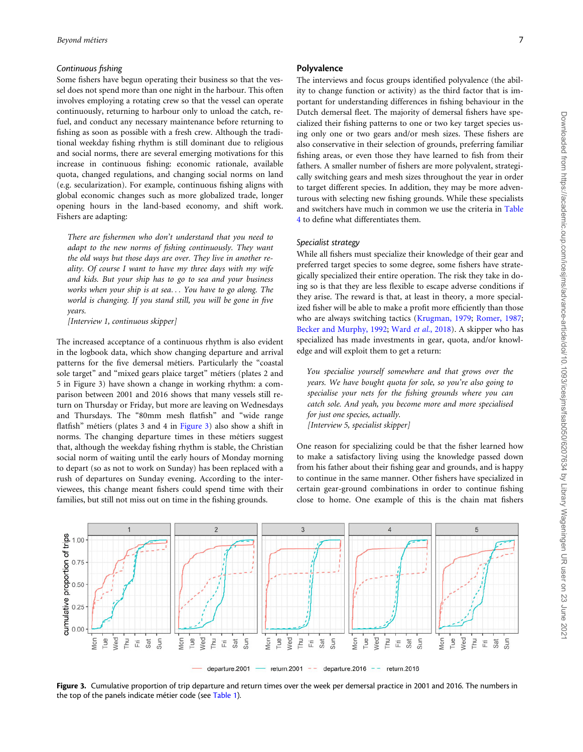#### <span id="page-6-0"></span>Continuous fishing

Some fishers have begun operating their business so that the vessel does not spend more than one night in the harbour. This often involves employing a rotating crew so that the vessel can operate continuously, returning to harbour only to unload the catch, refuel, and conduct any necessary maintenance before returning to fishing as soon as possible with a fresh crew. Although the traditional weekday fishing rhythm is still dominant due to religious and social norms, there are several emerging motivations for this increase in continuous fishing: economic rationale, available quota, changed regulations, and changing social norms on land (e.g. secularization). For example, continuous fishing aligns with global economic changes such as more globalized trade, longer opening hours in the land-based economy, and shift work. Fishers are adapting:

There are fishermen who don't understand that you need to adapt to the new norms of fishing continuously. They want the old ways but those days are over. They live in another reality. Of course I want to have my three days with my wife and kids. But your ship has to go to sea and your business works when your ship is at sea... You have to go along. The world is changing. If you stand still, you will be gone in five years.

[Interview 1, continuous skipper]

The increased acceptance of a continuous rhythm is also evident in the logbook data, which show changing departure and arrival patterns for the five demersal métiers. Particularly the "coastal sole target" and "mixed gears plaice target" métiers (plates 2 and 5 in Figure 3) have shown a change in working rhythm: a comparison between 2001 and 2016 shows that many vessels still return on Thursday or Friday, but more are leaving on Wednesdays and Thursdays. The "80mm mesh flatfish" and "wide range flatfish" métiers (plates 3 and 4 in Figure 3) also show a shift in norms. The changing departure times in these métiers suggest that, although the weekday fishing rhythm is stable, the Christian social norm of waiting until the early hours of Monday morning to depart (so as not to work on Sunday) has been replaced with a rush of departures on Sunday evening. According to the interviewees, this change meant fishers could spend time with their families, but still not miss out on time in the fishing grounds.

# Polyvalence

The interviews and focus groups identified polyvalence (the ability to change function or activity) as the third factor that is important for understanding differences in fishing behaviour in the Dutch demersal fleet. The majority of demersal fishers have specialized their fishing patterns to one or two key target species using only one or two gears and/or mesh sizes. These fishers are also conservative in their selection of grounds, preferring familiar fishing areas, or even those they have learned to fish from their fathers. A smaller number of fishers are more polyvalent, strategically switching gears and mesh sizes throughout the year in order to target different species. In addition, they may be more adventurous with selecting new fishing grounds. While these specialists and switchers have much in common we use the criteria in [Table](#page-7-0) [4](#page-7-0) to define what differentiates them.

# Specialist strategy

While all fishers must specialize their knowledge of their gear and preferred target species to some degree, some fishers have strategically specialized their entire operation. The risk they take in doing so is that they are less flexible to escape adverse conditions if they arise. The reward is that, at least in theory, a more specialized fisher will be able to make a profit more efficiently than those who are always switching tactics [\(Krugman, 1979](#page-10-0); [Romer, 1987;](#page-11-0) [Becker and Murphy, 1992;](#page-10-0) Ward et al.[, 2018](#page-11-0)). A skipper who has specialized has made investments in gear, quota, and/or knowledge and will exploit them to get a return:

You specialise yourself somewhere and that grows over the years. We have bought quota for sole, so you're also going to specialise your nets for the fishing grounds where you can catch sole. And yeah, you become more and more specialised for just one species, actually. [Interview 5, specialist skipper]

One reason for specializing could be that the fisher learned how to make a satisfactory living using the knowledge passed down from his father about their fishing gear and grounds, and is happy to continue in the same manner. Other fishers have specialized in certain gear-ground combinations in order to continue fishing close to home. One example of this is the chain mat fishers



Figure 3. Cumulative proportion of trip departure and return times over the week per demersal practice in 2001 and 2016. The numbers in the top of the panels indicate métier code (see [Table 1\)](#page-3-0).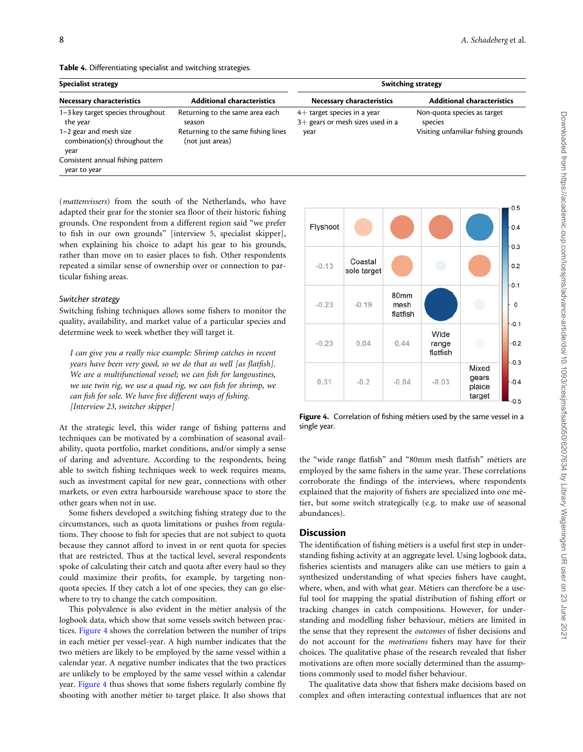<span id="page-7-0"></span>

|  | Table 4. Differentiating specialist and switching strategies. |  |  |  |
|--|---------------------------------------------------------------|--|--|--|
|--|---------------------------------------------------------------|--|--|--|

| <b>Specialist strategy</b>                                        |                                                         | <b>Switching strategy</b>                                           |                                        |  |
|-------------------------------------------------------------------|---------------------------------------------------------|---------------------------------------------------------------------|----------------------------------------|--|
| Necessary characteristics                                         | <b>Additional characteristics</b>                       | Necessary characteristics                                           | <b>Additional characteristics</b>      |  |
| 1-3 key target species throughout<br>the year                     | Returning to the same area each<br>season               | $4+$ target species in a year<br>$3+$ gears or mesh sizes used in a | Non-quota species as target<br>species |  |
| $1-2$ gear and mesh size<br>combination(s) throughout the<br>year | Returning to the same fishing lines<br>(not just areas) | year                                                                | Visiting unfamiliar fishing grounds    |  |
| Consistent annual fishing pattern<br>year to year                 |                                                         |                                                                     |                                        |  |

(mattenvissers) from the south of the Netherlands, who have adapted their gear for the stonier sea floor of their historic fishing grounds. One respondent from a different region said "we prefer to fish in our own grounds" [interview 5, specialist skipper], when explaining his choice to adapt his gear to his grounds, rather than move on to easier places to fish. Other respondents repeated a similar sense of ownership over or connection to particular fishing areas.

#### Switcher strategy

Switching fishing techniques allows some fishers to monitor the quality, availability, and market value of a particular species and determine week to week whether they will target it.

I can give you a really nice example: Shrimp catches in recent years have been very good, so we do that as well [as flatfish]. We are a multifunctional vessel; we can fish for langoustines, we use twin rig, we use a quad rig, we can fish for shrimp, we can fish for sole. We have five different ways of fishing. [Interview 23, switcher skipper]

At the strategic level, this wider range of fishing patterns and techniques can be motivated by a combination of seasonal availability, quota portfolio, market conditions, and/or simply a sense of daring and adventure. According to the respondents, being able to switch fishing techniques week to week requires means, such as investment capital for new gear, connections with other markets, or even extra harbourside warehouse space to store the other gears when not in use.

Some fishers developed a switching fishing strategy due to the circumstances, such as quota limitations or pushes from regulations. They choose to fish for species that are not subject to quota because they cannot afford to invest in or rent quota for species that are restricted. Thus at the tactical level, several respondents spoke of calculating their catch and quota after every haul so they could maximize their profits, for example, by targeting nonquota species. If they catch a lot of one species, they can go elsewhere to try to change the catch composition.

This polyvalence is also evident in the métier analysis of the logbook data, which show that some vessels switch between practices. Figure 4 shows the correlation between the number of trips in each métier per vessel-year. A high number indicates that the two métiers are likely to be employed by the same vessel within a calendar year. A negative number indicates that the two practices are unlikely to be employed by the same vessel within a calendar year. Figure 4 thus shows that some fishers regularly combine fly shooting with another métier to target plaice. It also shows that



Figure 4. Correlation of fishing métiers used by the same vessel in a single year.

the "wide range flatfish" and "80mm mesh flatfish" métiers are employed by the same fishers in the same year. These correlations corroborate the findings of the interviews, where respondents explained that the majority of fishers are specialized into one métier, but some switch strategically (e.g. to make use of seasonal abundances).

#### **Discussion**

The identification of fishing métiers is a useful first step in understanding fishing activity at an aggregate level. Using logbook data, fisheries scientists and managers alike can use métiers to gain a synthesized understanding of what species fishers have caught, where, when, and with what gear. Métiers can therefore be a useful tool for mapping the spatial distribution of fishing effort or tracking changes in catch compositions. However, for understanding and modelling fisher behaviour, métiers are limited in the sense that they represent the outcomes of fisher decisions and do not account for the motivations fishers may have for their choices. The qualitative phase of the research revealed that fisher motivations are often more socially determined than the assumptions commonly used to model fisher behaviour.

The qualitative data show that fishers make decisions based on complex and often interacting contextual influences that are not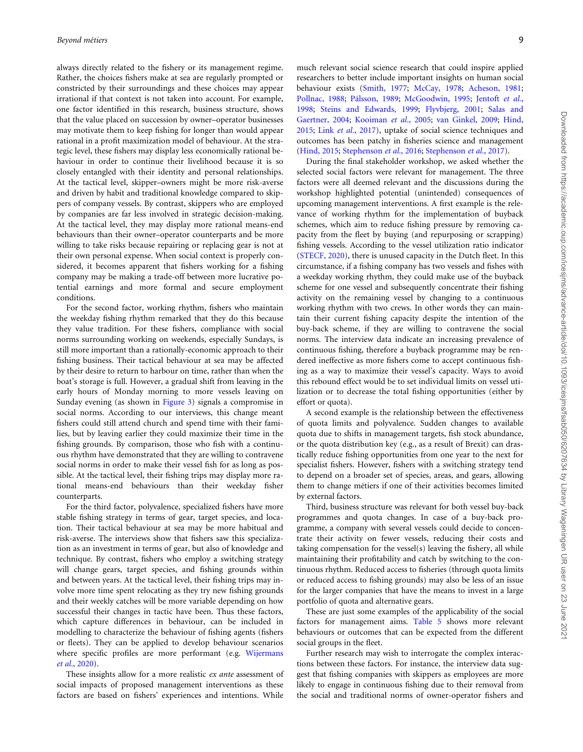always directly related to the fishery or its management regime. Rather, the choices fishers make at sea are regularly prompted or constricted by their surroundings and these choices may appear irrational if that context is not taken into account. For example, one factor identified in this research, business structure, shows that the value placed on succession by owner–operator businesses may motivate them to keep fishing for longer than would appear rational in a profit maximization model of behaviour. At the strategic level, these fishers may display less economically rational behaviour in order to continue their livelihood because it is so closely entangled with their identity and personal relationships. At the tactical level, skipper–owners might be more risk-averse and driven by habit and traditional knowledge compared to skippers of company vessels. By contrast, skippers who are employed by companies are far less involved in strategic decision-making. At the tactical level, they may display more rational means-end behaviours than their owner–operator counterparts and be more willing to take risks because repairing or replacing gear is not at their own personal expense. When social context is properly considered, it becomes apparent that fishers working for a fishing company may be making a trade-off between more lucrative potential earnings and more formal and secure employment conditions.

For the second factor, working rhythm, fishers who maintain the weekday fishing rhythm remarked that they do this because they value tradition. For these fishers, compliance with social norms surrounding working on weekends, especially Sundays, is still more important than a rationally-economic approach to their fishing business. Their tactical behaviour at sea may be affected by their desire to return to harbour on time, rather than when the boat's storage is full. However, a gradual shift from leaving in the early hours of Monday morning to more vessels leaving on Sunday evening (as shown in [Figure 3](#page-6-0)) signals a compromise in social norms. According to our interviews, this change meant fishers could still attend church and spend time with their families, but by leaving earlier they could maximize their time in the fishing grounds. By comparison, those who fish with a continuous rhythm have demonstrated that they are willing to contravene social norms in order to make their vessel fish for as long as possible. At the tactical level, their fishing trips may display more rational means-end behaviours than their weekday fisher counterparts.

For the third factor, polyvalence, specialized fishers have more stable fishing strategy in terms of gear, target species, and location. Their tactical behaviour at sea may be more habitual and risk-averse. The interviews show that fishers saw this specialization as an investment in terms of gear, but also of knowledge and technique. By contrast, fishers who employ a switching strategy will change gears, target species, and fishing grounds within and between years. At the tactical level, their fishing trips may involve more time spent relocating as they try new fishing grounds and their weekly catches will be more variable depending on how successful their changes in tactic have been. Thus these factors, which capture differences in behaviour, can be included in modelling to characterize the behaviour of fishing agents (fishers or fleets). They can be applied to develop behaviour scenarios where specific profiles are more performant (e.g. [Wijermans](#page-11-0) et al.[, 2020](#page-11-0)).

These insights allow for a more realistic ex ante assessment of social impacts of proposed management interventions as these factors are based on fishers' experiences and intentions. While

much relevant social science research that could inspire applied researchers to better include important insights on human social behaviour exists [\(Smith, 1977;](#page-11-0) [McCay, 1978](#page-10-0); [Acheson, 1981;](#page-10-0) [Pollnac, 1988;](#page-11-0) Pálsson, 1989; [McGoodwin, 1995](#page-10-0); [Jentoft](#page-10-0) et al., [1998;](#page-10-0) [Steins and Edwards, 1999](#page-11-0); [Flyvbjerg, 2001](#page-10-0); [Salas and](#page-11-0) [Gaertner, 2004;](#page-11-0) [Kooiman](#page-10-0) et al., 2005; [van Ginkel, 2009;](#page-11-0) [Hind,](#page-10-0) [2015;](#page-10-0) Link et al.[, 2017\)](#page-10-0), uptake of social science techniques and outcomes has been patchy in fisheries science and management [\(Hind, 2015;](#page-10-0) [Stephenson](#page-11-0) et al., 2016; [Stephenson](#page-11-0) et al., 2017).

During the final stakeholder workshop, we asked whether the selected social factors were relevant for management. The three factors were all deemed relevant and the discussions during the workshop highlighted potential (unintended) consequences of upcoming management interventions. A first example is the relevance of working rhythm for the implementation of buyback schemes, which aim to reduce fishing pressure by removing capacity from the fleet by buying (and repurposing or scrapping) fishing vessels. According to the vessel utilization ratio indicator [\(STECF, 2020\)](#page-11-0), there is unused capacity in the Dutch fleet. In this circumstance, if a fishing company has two vessels and fishes with a weekday working rhythm, they could make use of the buyback scheme for one vessel and subsequently concentrate their fishing activity on the remaining vessel by changing to a continuous working rhythm with two crews. In other words they can maintain their current fishing capacity despite the intention of the buy-back scheme, if they are willing to contravene the social norms. The interview data indicate an increasing prevalence of continuous fishing, therefore a buyback programme may be rendered ineffective as more fishers come to accept continuous fishing as a way to maximize their vessel's capacity. Ways to avoid this rebound effect would be to set individual limits on vessel utilization or to decrease the total fishing opportunities (either by effort or quota).

A second example is the relationship between the effectiveness of quota limits and polyvalence. Sudden changes to available quota due to shifts in management targets, fish stock abundance, or the quota distribution key (e.g., as a result of Brexit) can drastically reduce fishing opportunities from one year to the next for specialist fishers. However, fishers with a switching strategy tend to depend on a broader set of species, areas, and gears, allowing them to change métiers if one of their activities becomes limited by external factors.

Third, business structure was relevant for both vessel buy-back programmes and quota changes. In case of a buy-back programme, a company with several vessels could decide to concentrate their activity on fewer vessels, reducing their costs and taking compensation for the vessel(s) leaving the fishery, all while maintaining their profitability and catch by switching to the continuous rhythm. Reduced access to fisheries (through quota limits or reduced access to fishing grounds) may also be less of an issue for the larger companies that have the means to invest in a large portfolio of quota and alternative gears.

These are just some examples of the applicability of the social factors for management aims. [Table 5](#page-9-0) shows more relevant behaviours or outcomes that can be expected from the different social groups in the fleet.

Further research may wish to interrogate the complex interactions between these factors. For instance, the interview data suggest that fishing companies with skippers as employees are more likely to engage in continuous fishing due to their removal from the social and traditional norms of owner-operator fishers and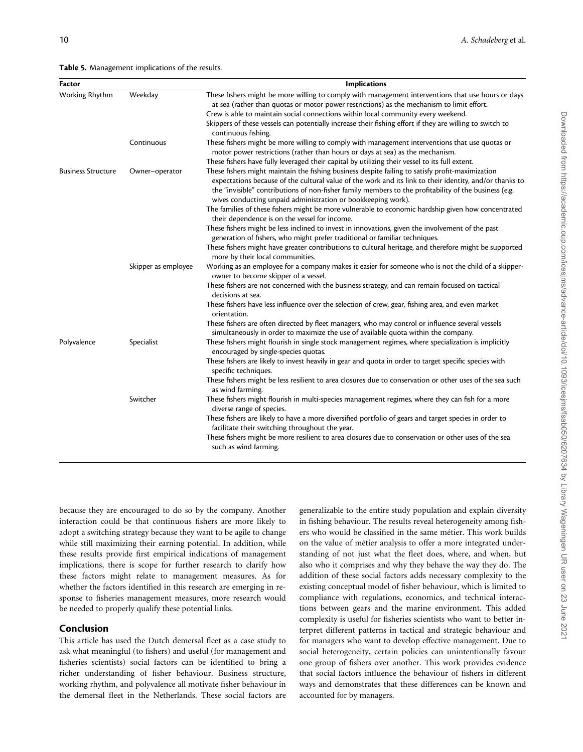<span id="page-9-0"></span>

| Factor                    |                     | <b>Implications</b>                                                                                                                                                                                                                                                                                                                                                                                                                                                                    |
|---------------------------|---------------------|----------------------------------------------------------------------------------------------------------------------------------------------------------------------------------------------------------------------------------------------------------------------------------------------------------------------------------------------------------------------------------------------------------------------------------------------------------------------------------------|
| Working Rhythm            | Weekday             | These fishers might be more willing to comply with management interventions that use hours or days<br>at sea (rather than quotas or motor power restrictions) as the mechanism to limit effort.<br>Crew is able to maintain social connections within local community every weekend.<br>Skippers of these vessels can potentially increase their fishing effort if they are willing to switch to<br>continuous fishing.                                                                |
|                           | Continuous          | These fishers might be more willing to comply with management interventions that use quotas or<br>motor power restrictions (rather than hours or days at sea) as the mechanism.                                                                                                                                                                                                                                                                                                        |
| <b>Business Structure</b> | Owner-operator      | These fishers have fully leveraged their capital by utilizing their vessel to its full extent.<br>These fishers might maintain the fishing business despite failing to satisfy profit-maximization<br>expectations because of the cultural value of the work and its link to their identity, and/or thanks to<br>the "invisible" contributions of non-fisher family members to the profitability of the business (e.g.<br>wives conducting unpaid administration or bookkeeping work). |
|                           |                     | The families of these fishers might be more vulnerable to economic hardship given how concentrated<br>their dependence is on the vessel for income.                                                                                                                                                                                                                                                                                                                                    |
|                           |                     | These fishers might be less inclined to invest in innovations, given the involvement of the past<br>generation of fishers, who might prefer traditional or familiar techniques.                                                                                                                                                                                                                                                                                                        |
|                           |                     | These fishers might have greater contributions to cultural heritage, and therefore might be supported<br>more by their local communities.                                                                                                                                                                                                                                                                                                                                              |
|                           | Skipper as employee | Working as an employee for a company makes it easier for someone who is not the child of a skipper-<br>owner to become skipper of a vessel.                                                                                                                                                                                                                                                                                                                                            |
|                           |                     | These fishers are not concerned with the business strategy, and can remain focused on tactical<br>decisions at sea.                                                                                                                                                                                                                                                                                                                                                                    |
|                           |                     | These fishers have less influence over the selection of crew, gear, fishing area, and even market<br>orientation.                                                                                                                                                                                                                                                                                                                                                                      |
|                           |                     | These fishers are often directed by fleet managers, who may control or influence several vessels<br>simultaneously in order to maximize the use of available quota within the company.                                                                                                                                                                                                                                                                                                 |
| Polyvalence               | Specialist          | These fishers might flourish in single stock management regimes, where specialization is implicitly<br>encouraged by single-species quotas.                                                                                                                                                                                                                                                                                                                                            |
|                           |                     | These fishers are likely to invest heavily in gear and quota in order to target specific species with<br>specific techniques.                                                                                                                                                                                                                                                                                                                                                          |
|                           |                     | These fishers might be less resilient to area closures due to conservation or other uses of the sea such<br>as wind farming.                                                                                                                                                                                                                                                                                                                                                           |
|                           | Switcher            | These fishers might flourish in multi-species management regimes, where they can fish for a more<br>diverse range of species.                                                                                                                                                                                                                                                                                                                                                          |
|                           |                     | These fishers are likely to have a more diversified portfolio of gears and target species in order to<br>facilitate their switching throughout the year.                                                                                                                                                                                                                                                                                                                               |
|                           |                     | These fishers might be more resilient to area closures due to conservation or other uses of the sea<br>such as wind farming.                                                                                                                                                                                                                                                                                                                                                           |
|                           |                     |                                                                                                                                                                                                                                                                                                                                                                                                                                                                                        |

because they are encouraged to do so by the company. Another interaction could be that continuous fishers are more likely to adopt a switching strategy because they want to be agile to change while still maximizing their earning potential. In addition, while these results provide first empirical indications of management implications, there is scope for further research to clarify how these factors might relate to management measures. As for whether the factors identified in this research are emerging in response to fisheries management measures, more research would be needed to properly qualify these potential links.

# Conclusion

This article has used the Dutch demersal fleet as a case study to ask what meaningful (to fishers) and useful (for management and fisheries scientists) social factors can be identified to bring a richer understanding of fisher behaviour. Business structure, working rhythm, and polyvalence all motivate fisher behaviour in the demersal fleet in the Netherlands. These social factors are generalizable to the entire study population and explain diversity in fishing behaviour. The results reveal heterogeneity among fishers who would be classified in the same métier. This work builds on the value of métier analysis to offer a more integrated understanding of not just what the fleet does, where, and when, but also who it comprises and why they behave the way they do. The addition of these social factors adds necessary complexity to the existing conceptual model of fisher behaviour, which is limited to compliance with regulations, economics, and technical interactions between gears and the marine environment. This added complexity is useful for fisheries scientists who want to better interpret different patterns in tactical and strategic behaviour and for managers who want to develop effective management. Due to social heterogeneity, certain policies can unintentionally favour one group of fishers over another. This work provides evidence that social factors influence the behaviour of fishers in different ways and demonstrates that these differences can be known and accounted for by managers.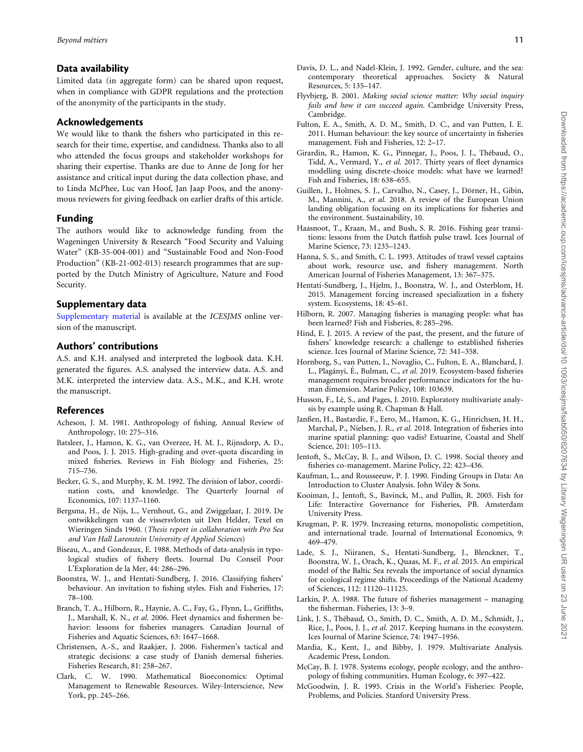# <span id="page-10-0"></span>Data availability

Limited data (in aggregate form) can be shared upon request, when in compliance with GDPR regulations and the protection of the anonymity of the participants in the study.

#### Acknowledgements

We would like to thank the fishers who participated in this research for their time, expertise, and candidness. Thanks also to all who attended the focus groups and stakeholder workshops for sharing their expertise. Thanks are due to Anne de Jong for her assistance and critical input during the data collection phase, and to Linda McPhee, Luc van Hoof, Jan Jaap Poos, and the anonymous reviewers for giving feedback on earlier drafts of this article.

# Funding

The authors would like to acknowledge funding from the Wageningen University & Research "Food Security and Valuing Water" (KB-35-004-001) and "Sustainable Food and Non-Food Production" (KB-21-002-013) research programmes that are supported by the Dutch Ministry of Agriculture, Nature and Food Security.

# Supplementary data

[Supplementary material](https://academic.oup.com/icesjms/article-lookup/doi/10.1093/icesjms/fsab050#supplementary-data) is available at the ICESJMS online version of the manuscript.

# Authors' contributions

A.S. and K.H. analysed and interpreted the logbook data. K.H. generated the figures. A.S. analysed the interview data. A.S. and M.K. interpreted the interview data. A.S., M.K., and K.H. wrote the manuscript.

# References

- Acheson, J. M. 1981. Anthropology of fishing. Annual Review of Anthropology, 10: 275–316.
- Batsleer, J., Hamon, K. G., van Overzee, H. M. J., Rijnsdorp, A. D., and Poos, J. J. 2015. High-grading and over-quota discarding in mixed fisheries. Reviews in Fish Biology and Fisheries, 25: 715–736.
- Becker, G. S., and Murphy, K. M. 1992. The division of labor, coordination costs, and knowledge. The Quarterly Journal of Economics, 107: 1137–1160.
- Bergsma, H., de Nijs, L., Vernhout, G., and Zwiggelaar, J. 2019. De ontwikkelingen van de vissersvloten uit Den Helder, Texel en Wieringen Sinds 1960. (Thesis report in collaboration with Pro Sea and Van Hall Larenstein University of Applied Sciences)
- Biseau, A., and Gondeaux, E. 1988. Methods of data-analysis in typological studies of fishery fleets. Journal Du Conseil Pour L'Exploration de la Mer, 44: 286–296.
- Boonstra, W. J., and Hentati-Sundberg, J. 2016. Classifying fishers' behaviour. An invitation to fishing styles. Fish and Fisheries, 17: 78–100.
- Branch, T. A., Hilborn, R., Haynie, A. C., Fay, G., Flynn, L., Griffiths, J., Marshall, K. N., et al. 2006. Fleet dynamics and fishermen behavior: lessons for fisheries managers. Canadian Journal of Fisheries and Aquatic Sciences, 63: 1647–1668.
- Christensen, A.-S., and Raakjær, J. 2006. Fishermen's tactical and strategic decisions: a case study of Danish demersal fisheries. Fisheries Research, 81: 258–267.
- Clark, C. W. 1990. Mathematical Bioeconomics: Optimal Management to Renewable Resources. Wiley-Interscience, New York, pp. 245–266.
- Davis, D. L., and Nadel-Klein, J. 1992. Gender, culture, and the sea: contemporary theoretical approaches. Society & Natural Resources, 5: 135–147.
- Flyvbjerg, B. 2001. Making social science matter: Why social inquiry fails and how it can succeed again. Cambridge University Press, Cambridge.
- Fulton, E. A., Smith, A. D. M., Smith, D. C., and van Putten, I. E. 2011. Human behaviour: the key source of uncertainty in fisheries management. Fish and Fisheries, 12: 2–17.
- Girardin, R., Hamon, K. G., Pinnegar, J., Poos, J. J., Thébaud, O., Tidd, A., Vermard, Y., et al. 2017. Thirty years of fleet dynamics modelling using discrete-choice models: what have we learned? Fish and Fisheries, 18: 638–655.
- Guillen, J., Holmes, S. J., Carvalho, N., Casey, J., Dörner, H., Gibin, M., Mannini, A., et al. 2018. A review of the European Union landing obligation focusing on its implications for fisheries and the environment. Sustainability, 10.
- Haasnoot, T., Kraan, M., and Bush, S. R. 2016. Fishing gear transitions: lessons from the Dutch flatfish pulse trawl. Ices Journal of Marine Science, 73: 1235–1243.
- Hanna, S. S., and Smith, C. L. 1993. Attitudes of trawl vessel captains about work, resource use, and fishery management. North American Journal of Fisheries Management, 13: 367–375.
- Hentati-Sundberg, J., Hjelm, J., Boonstra, W. J., and Osterblom, H. 2015. Management forcing increased specialization in a fishery system. Ecosystems, 18: 45–61.
- Hilborn, R. 2007. Managing fisheries is managing people: what has been learned? Fish and Fisheries, 8: 285–296.
- Hind, E. J. 2015. A review of the past, the present, and the future of fishers' knowledge research: a challenge to established fisheries science. Ices Journal of Marine Science, 72: 341–358.
- Hornborg, S., van Putten, I., Novaglio, C., Fulton, E. A., Blanchard, J. L., Plagányi, É., Bulman, C., et al. 2019. Ecosystem-based fisheries management requires broader performance indicators for the human dimension. Marine Policy, 108: 103639.
- Husson, F., Lê, S., and Pages, J. 2010. Exploratory multivariate analysis by example using R. Chapman & Hall.
- Janßen, H., Bastardie, F., Eero, M., Hamon, K. G., Hinrichsen, H. H., Marchal, P., Nielsen, J. R., et al. 2018. Integration of fisheries into marine spatial planning: quo vadis? Estuarine, Coastal and Shelf Science, 201: 105–113.
- Jentoft, S., McCay, B. J., and Wilson, D. C. 1998. Social theory and fisheries co-management. Marine Policy, 22: 423–436.
- Kaufman, L., and Rousseeuw, P. J. 1990. Finding Groups in Data: An Introduction to Cluster Analysis. John Wiley & Sons.
- Kooiman, J., Jentoft, S., Bavinck, M., and Pullin, R. 2005. Fish for Life: Interactive Governance for Fisheries, PB. Amsterdam University Press.
- Krugman, P. R. 1979. Increasing returns, monopolistic competition, and international trade. Journal of International Economics, 9: 469–479.
- Lade, S. J., Niiranen, S., Hentati-Sundberg, J., Blenckner, T., Boonstra, W. J., Orach, K., Quaas, M. F., et al. 2015. An empirical model of the Baltic Sea reveals the importance of social dynamics for ecological regime shifts. Proceedings of the National Academy of Sciences, 112: 11120–11125.
- Larkin, P. A. 1988. The future of fisheries management managing the fisherman. Fisheries, 13: 3–9.
- Link, J. S., Thébaud, O., Smith, D. C., Smith, A. D. M., Schmidt, J., Rice, J., Poos, J. J., et al. 2017. Keeping humans in the ecosystem. Ices Journal of Marine Science, 74: 1947–1956.
- Mardia, K., Kent, J., and Bibby, J. 1979. Multivariate Analysis. Academic Press, London.
- McCay, B. J. 1978. Systems ecology, people ecology, and the anthropology of fishing communities. Human Ecology, 6: 397–422.
- McGoodwin, J. R. 1995. Crisis in the World's Fisheries: People, Problems, and Policies. Stanford University Press.